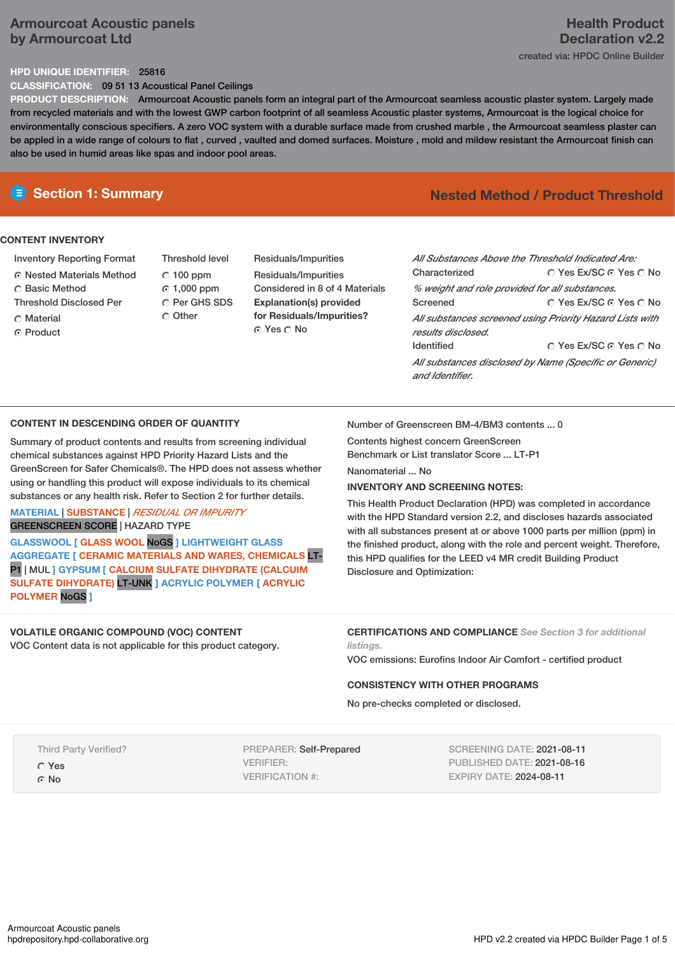# **Armourcoat Acoustic panels by Armourcoat Ltd**

# **HPD UNIQUE IDENTIFIER:** 25816

**CLASSIFICATION:** 09 51 13 Acoustical Panel Ceilings

**PRODUCT DESCRIPTION:** Armourcoat Acoustic panels form an integral part of the Armourcoat seamless acoustic plaster system. Largely made from recycled materials and with the lowest GWP carbon footprint of all seamless Acoustic plaster systems, Armourcoat is the logical choice for environmentally conscious specifiers. A zero VOC system with a durable surface made from crushed marble , the Armourcoat seamless plaster can be appled in a wide range of colours to flat , curved , vaulted and domed surfaces. Moisture , mold and mildew resistant the Armourcoat finish can also be used in humid areas like spas and indoor pool areas.

### **CONTENT INVENTORY**

- Inventory Reporting Format
- Nested Materials Method
- C Basic Method
- Threshold Disclosed Per
- C Material
- C Product

Threshold level  $C$  100 ppm 1,000 ppm C Per GHS SDS Other

Residuals/Impurities Residuals/Impurities Considered in 8 of 4 Materials **Explanation(s) provided for Residuals/Impurities?** © Yes ∩ No

# **Section 1: Summary Nested Method / Product Threshold**

| All Substances Above the Threshold Indicated Are:        |                        |  |  |  |
|----------------------------------------------------------|------------------------|--|--|--|
| Characterized                                            | ∩ Yes Ex/SC ∩ Yes ∩ No |  |  |  |
| % weight and role provided for all substances.           |                        |  |  |  |
| Screened                                                 | ∩ Yes Ex/SC ∩ Yes ∩ No |  |  |  |
| All substances screened using Priority Hazard Lists with |                        |  |  |  |
| results disclosed.                                       |                        |  |  |  |
| <b>Identified</b>                                        | ○ Yes Ex/SC ⊙ Yes ○ No |  |  |  |
| All substances disclosed by Name (Specific or Generic)   |                        |  |  |  |
| and Identifier.                                          |                        |  |  |  |

### **CONTENT IN DESCENDING ORDER OF QUANTITY**

Summary of product contents and results from screening individual chemical substances against HPD Priority Hazard Lists and the GreenScreen for Safer Chemicals®. The HPD does not assess whether using or handling this product will expose individuals to its chemical substances or any health risk. Refer to Section 2 for further details.

### **MATERIAL** | **SUBSTANCE** | *RESIDUAL OR IMPURITY* GREENSCREEN SCORE | HAZARD TYPE

**GLASSWOOL [ GLASS WOOL** NoGS **] LIGHTWEIGHT GLASS AGGREGATE [ CERAMIC MATERIALS AND WARES, CHEMICALS** LT-P1 | MUL **] GYPSUM [ CALCIUM SULFATE DIHYDRATE (CALCUIM SULFATE DIHYDRATE)** LT-UNK **] ACRYLIC POLYMER [ ACRYLIC POLYMER** NoGS **]**

Number of Greenscreen BM-4/BM3 contents ... 0

Contents highest concern GreenScreen Benchmark or List translator Score ... LT-P1

# Nanomaterial ... No

### **INVENTORY AND SCREENING NOTES:**

This Health Product Declaration (HPD) was completed in accordance with the HPD Standard version 2.2, and discloses hazards associated with all substances present at or above 1000 parts per million (ppm) in the finished product, along with the role and percent weight. Therefore, this HPD qualifies for the LEED v4 MR credit Building Product Disclosure and Optimization:

# **VOLATILE ORGANIC COMPOUND (VOC) CONTENT**

VOC Content data is not applicable for this product category.

**CERTIFICATIONS AND COMPLIANCE** *See Section 3 for additional listings.*

VOC emissions: Eurofins Indoor Air Comfort - certified product

### **CONSISTENCY WITH OTHER PROGRAMS**

No pre-checks completed or disclosed.

Third Party Verified?

Yes

G No

PREPARER: Self-Prepared VERIFIER: VERIFICATION #:

SCREENING DATE: 2021-08-11 PUBLISHED DATE: 2021-08-16 EXPIRY DATE: 2024-08-11

# **Health Product Declaration v2.2**

created via: HPDC Online Builder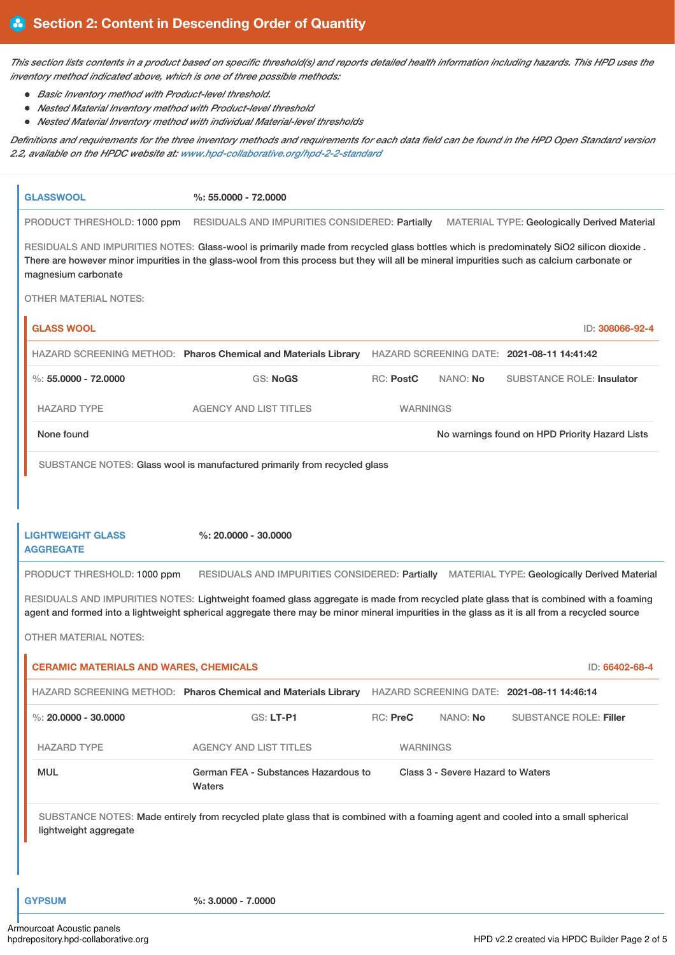This section lists contents in a product based on specific threshold(s) and reports detailed health information including hazards. This HPD uses the *inventory method indicated above, which is one of three possible methods:*

- *Basic Inventory method with Product-level threshold.*
- *Nested Material Inventory method with Product-level threshold*
- *Nested Material Inventory method with individual Material-level thresholds*

Definitions and requirements for the three inventory methods and requirements for each data field can be found in the HPD Open Standard version *2.2, available on the HPDC website at: [www.hpd-collaborative.org/hpd-2-2-standard](https://www.hpd-collaborative.org/hpd-2-2-standard)*

| <b>GLASSWOOL</b>                                                                                                                                                                                                                                                                       |                                               | $\%: 55,0000 - 72,0000$                                                                                                                                                                                                                                                              |                  |                                   |                                                     |                 |
|----------------------------------------------------------------------------------------------------------------------------------------------------------------------------------------------------------------------------------------------------------------------------------------|-----------------------------------------------|--------------------------------------------------------------------------------------------------------------------------------------------------------------------------------------------------------------------------------------------------------------------------------------|------------------|-----------------------------------|-----------------------------------------------------|-----------------|
|                                                                                                                                                                                                                                                                                        | PRODUCT THRESHOLD: 1000 ppm                   | RESIDUALS AND IMPURITIES CONSIDERED: Partially                                                                                                                                                                                                                                       |                  |                                   | <b>MATERIAL TYPE: Geologically Derived Material</b> |                 |
| magnesium carbonate                                                                                                                                                                                                                                                                    |                                               | RESIDUALS AND IMPURITIES NOTES: Glass-wool is primarily made from recycled glass bottles which is predominately SiO2 silicon dioxide.<br>There are however minor impurities in the glass-wool from this process but they will all be mineral impurities such as calcium carbonate or |                  |                                   |                                                     |                 |
|                                                                                                                                                                                                                                                                                        | OTHER MATERIAL NOTES:                         |                                                                                                                                                                                                                                                                                      |                  |                                   |                                                     |                 |
| <b>GLASS WOOL</b>                                                                                                                                                                                                                                                                      |                                               |                                                                                                                                                                                                                                                                                      |                  |                                   |                                                     | ID: 308066-92-4 |
|                                                                                                                                                                                                                                                                                        |                                               | HAZARD SCREENING METHOD: Pharos Chemical and Materials Library HAZARD SCREENING DATE: 2021-08-11 14:41:42                                                                                                                                                                            |                  |                                   |                                                     |                 |
| %: $55,0000 - 72,0000$                                                                                                                                                                                                                                                                 |                                               | GS: NoGS                                                                                                                                                                                                                                                                             | <b>RC: PostC</b> | NANO: No                          | <b>SUBSTANCE ROLE: Insulator</b>                    |                 |
| <b>HAZARD TYPE</b>                                                                                                                                                                                                                                                                     |                                               | <b>AGENCY AND LIST TITLES</b>                                                                                                                                                                                                                                                        | <b>WARNINGS</b>  |                                   |                                                     |                 |
| None found                                                                                                                                                                                                                                                                             |                                               |                                                                                                                                                                                                                                                                                      |                  |                                   | No warnings found on HPD Priority Hazard Lists      |                 |
|                                                                                                                                                                                                                                                                                        |                                               | SUBSTANCE NOTES: Glass wool is manufactured primarily from recycled glass                                                                                                                                                                                                            |                  |                                   |                                                     |                 |
|                                                                                                                                                                                                                                                                                        |                                               |                                                                                                                                                                                                                                                                                      |                  |                                   |                                                     |                 |
|                                                                                                                                                                                                                                                                                        |                                               |                                                                                                                                                                                                                                                                                      |                  |                                   |                                                     |                 |
| <b>LIGHTWEIGHT GLASS</b><br><b>AGGREGATE</b>                                                                                                                                                                                                                                           |                                               | $%: 20.0000 - 30.0000$                                                                                                                                                                                                                                                               |                  |                                   |                                                     |                 |
|                                                                                                                                                                                                                                                                                        | PRODUCT THRESHOLD: 1000 ppm                   | RESIDUALS AND IMPURITIES CONSIDERED: Partially MATERIAL TYPE: Geologically Derived Material                                                                                                                                                                                          |                  |                                   |                                                     |                 |
| RESIDUALS AND IMPURITIES NOTES: Lightweight foamed glass aggregate is made from recycled plate glass that is combined with a foaming<br>agent and formed into a lightweight spherical aggregate there may be minor mineral impurities in the glass as it is all from a recycled source |                                               |                                                                                                                                                                                                                                                                                      |                  |                                   |                                                     |                 |
|                                                                                                                                                                                                                                                                                        | <b>OTHER MATERIAL NOTES:</b>                  |                                                                                                                                                                                                                                                                                      |                  |                                   |                                                     |                 |
|                                                                                                                                                                                                                                                                                        | <b>CERAMIC MATERIALS AND WARES, CHEMICALS</b> |                                                                                                                                                                                                                                                                                      |                  |                                   |                                                     | ID: 66402-68-4  |
|                                                                                                                                                                                                                                                                                        |                                               | HAZARD SCREENING METHOD: Pharos Chemical and Materials Library HAZARD SCREENING DATE: 2021-08-11 14:46:14                                                                                                                                                                            |                  |                                   |                                                     |                 |
| %: $20.0000 - 30.0000$                                                                                                                                                                                                                                                                 |                                               | GS: LT-P1                                                                                                                                                                                                                                                                            | RC: PreC         | NANO: No                          | <b>SUBSTANCE ROLE: Filler</b>                       |                 |
| <b>HAZARD TYPE</b>                                                                                                                                                                                                                                                                     |                                               | <b>AGENCY AND LIST TITLES</b>                                                                                                                                                                                                                                                        | <b>WARNINGS</b>  |                                   |                                                     |                 |
| <b>MUL</b>                                                                                                                                                                                                                                                                             |                                               | German FEA - Substances Hazardous to<br>Waters                                                                                                                                                                                                                                       |                  | Class 3 - Severe Hazard to Waters |                                                     |                 |
| SUBSTANCE NOTES: Made entirely from recycled plate glass that is combined with a foaming agent and cooled into a small spherical<br>lightweight aggregate                                                                                                                              |                                               |                                                                                                                                                                                                                                                                                      |                  |                                   |                                                     |                 |
|                                                                                                                                                                                                                                                                                        |                                               |                                                                                                                                                                                                                                                                                      |                  |                                   |                                                     |                 |
|                                                                                                                                                                                                                                                                                        |                                               |                                                                                                                                                                                                                                                                                      |                  |                                   |                                                     |                 |
| <b>GYPSUM</b>                                                                                                                                                                                                                                                                          |                                               | $\%: 3.0000 - 7.0000$                                                                                                                                                                                                                                                                |                  |                                   |                                                     |                 |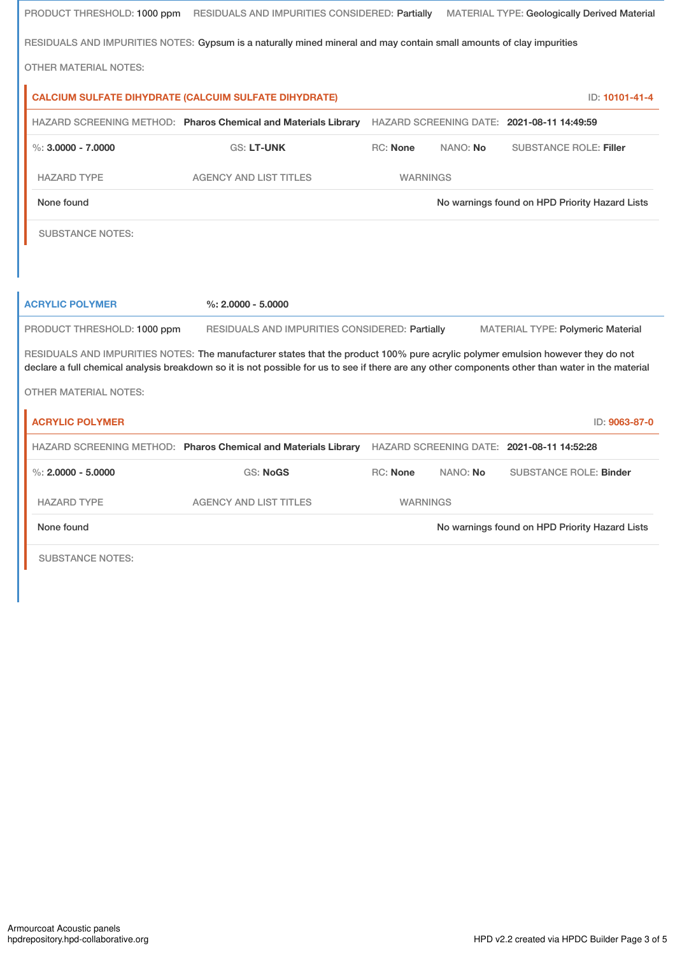|                              | PRODUCT THRESHOLD: 1000 ppm RESIDUALS AND IMPURITIES CONSIDERED: Partially                                                                                                                                                                                                           |                 |          | <b>MATERIAL TYPE: Geologically Derived Material</b> |
|------------------------------|--------------------------------------------------------------------------------------------------------------------------------------------------------------------------------------------------------------------------------------------------------------------------------------|-----------------|----------|-----------------------------------------------------|
|                              | RESIDUALS AND IMPURITIES NOTES: Gypsum is a naturally mined mineral and may contain small amounts of clay impurities                                                                                                                                                                 |                 |          |                                                     |
| <b>OTHER MATERIAL NOTES:</b> |                                                                                                                                                                                                                                                                                      |                 |          |                                                     |
|                              | <b>CALCIUM SULFATE DIHYDRATE (CALCUIM SULFATE DIHYDRATE)</b>                                                                                                                                                                                                                         |                 |          | ID: 10101-41-4                                      |
|                              | HAZARD SCREENING METHOD: Pharos Chemical and Materials Library                                                                                                                                                                                                                       |                 |          | HAZARD SCREENING DATE: 2021-08-11 14:49:59          |
| %: $3.0000 - 7.0000$         | <b>GS: LT-UNK</b>                                                                                                                                                                                                                                                                    | <b>RC:</b> None | NANO: No | <b>SUBSTANCE ROLE: Filler</b>                       |
| <b>HAZARD TYPE</b>           | <b>AGENCY AND LIST TITLES</b>                                                                                                                                                                                                                                                        | <b>WARNINGS</b> |          |                                                     |
| None found                   |                                                                                                                                                                                                                                                                                      |                 |          | No warnings found on HPD Priority Hazard Lists      |
| <b>SUBSTANCE NOTES:</b>      |                                                                                                                                                                                                                                                                                      |                 |          |                                                     |
|                              |                                                                                                                                                                                                                                                                                      |                 |          |                                                     |
|                              |                                                                                                                                                                                                                                                                                      |                 |          |                                                     |
| <b>ACRYLIC POLYMER</b>       | $%: 2,0000 - 5,0000$                                                                                                                                                                                                                                                                 |                 |          |                                                     |
| PRODUCT THRESHOLD: 1000 ppm  | RESIDUALS AND IMPURITIES CONSIDERED: Partially                                                                                                                                                                                                                                       |                 |          | MATERIAL TYPE: Polymeric Material                   |
|                              | RESIDUALS AND IMPURITIES NOTES: The manufacturer states that the product 100% pure acrylic polymer emulsion however they do not<br>declare a full chemical analysis breakdown so it is not possible for us to see if there are any other components other than water in the material |                 |          |                                                     |
| <b>OTHER MATERIAL NOTES:</b> |                                                                                                                                                                                                                                                                                      |                 |          |                                                     |
|                              |                                                                                                                                                                                                                                                                                      |                 |          |                                                     |
| <b>ACRYLIC POLYMER</b>       |                                                                                                                                                                                                                                                                                      |                 |          | ID: 9063-87-0                                       |
|                              | HAZARD SCREENING METHOD: Pharos Chemical and Materials Library HAZARD SCREENING DATE: 2021-08-11 14:52:28                                                                                                                                                                            |                 |          |                                                     |
| $\%$ : 2.0000 - 5.0000       | <b>GS: NoGS</b>                                                                                                                                                                                                                                                                      | RC: None        | NANO: No | <b>SUBSTANCE ROLE: Binder</b>                       |
| <b>HAZARD TYPE</b>           | <b>AGENCY AND LIST TITLES</b>                                                                                                                                                                                                                                                        | <b>WARNINGS</b> |          |                                                     |
| None found                   |                                                                                                                                                                                                                                                                                      |                 |          | No warnings found on HPD Priority Hazard Lists      |
| <b>SUBSTANCE NOTES:</b>      |                                                                                                                                                                                                                                                                                      |                 |          |                                                     |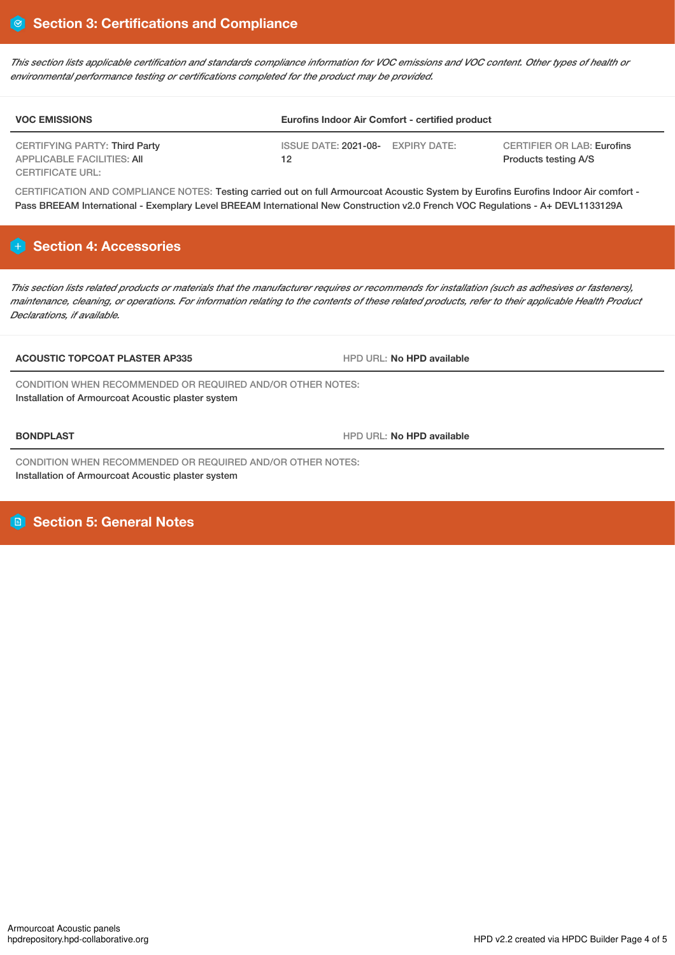This section lists applicable certification and standards compliance information for VOC emissions and VOC content. Other types of health or *environmental performance testing or certifications completed for the product may be provided.*

| <b>VOC EMISSIONS</b>                                        | Eurofins Indoor Air Comfort - certified product |                                                           |  |
|-------------------------------------------------------------|-------------------------------------------------|-----------------------------------------------------------|--|
| CERTIFYING PARTY: Third Party<br>APPLICABLE FACILITIES: AII | ISSUE DATE: 2021-08- EXPIRY DATE:<br>12         | <b>CERTIFIER OR LAB: Eurofins</b><br>Products testing A/S |  |
| <b>CERTIFICATE URL:</b>                                     |                                                 |                                                           |  |

CERTIFICATION AND COMPLIANCE NOTES: Testing carried out on full Armourcoat Acoustic System by Eurofins Eurofins Indoor Air comfort - Pass BREEAM International - Exemplary Level BREEAM International New Construction v2.0 French VOC Regulations - A+ DEVL1133129A

# **Section 4: Accessories**

This section lists related products or materials that the manufacturer requires or recommends for installation (such as adhesives or fasteners), maintenance, cleaning, or operations. For information relating to the contents of these related products, refer to their applicable Health Product *Declarations, if available.*

### **ACOUSTIC TOPCOAT PLASTER AP335** HPD URL: **No HPD available**

CONDITION WHEN RECOMMENDED OR REQUIRED AND/OR OTHER NOTES: Installation of Armourcoat Acoustic plaster system

**BONDPLAST HPD** URL: No **HPD** available

CONDITION WHEN RECOMMENDED OR REQUIRED AND/OR OTHER NOTES: Installation of Armourcoat Acoustic plaster system

# **Section 5: General Notes**